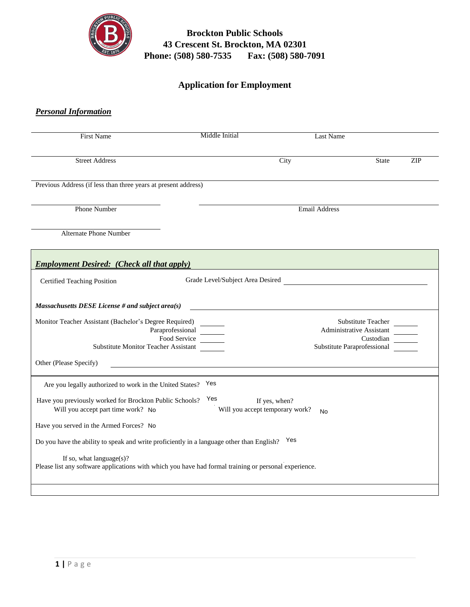

# **Brockton Public Schools 43 Crescent St. Brockton, MA 02301 Phone: (508) 580-7535 Fax: (508) 580-7091**

# **Application for Employment**

| <b>First Name</b>                                                                              | Middle Initial                   | Last Name                                                     |                                                                                            |     |
|------------------------------------------------------------------------------------------------|----------------------------------|---------------------------------------------------------------|--------------------------------------------------------------------------------------------|-----|
| <b>Street Address</b>                                                                          |                                  | City                                                          | <b>State</b>                                                                               | ZIP |
| Previous Address (if less than three years at present address)                                 |                                  |                                                               |                                                                                            |     |
| <b>Phone Number</b>                                                                            |                                  | <b>Email Address</b>                                          |                                                                                            |     |
| <b>Alternate Phone Number</b>                                                                  |                                  |                                                               |                                                                                            |     |
| <b>Employment Desired:</b> (Check all that apply)                                              |                                  |                                                               |                                                                                            |     |
| Certified Teaching Position                                                                    | Grade Level/Subject Area Desired |                                                               |                                                                                            |     |
| Massachusetts DESE License # and subject area(s)                                               |                                  |                                                               |                                                                                            |     |
| Monitor Teacher Assistant (Bachelor's Degree Required)<br>Substitute Monitor Teacher Assistant | Paraprofessional<br>Food Service |                                                               | Substitute Teacher<br>Administrative Assistant<br>Custodian<br>Substitute Paraprofessional |     |
| Other (Please Specify)                                                                         |                                  |                                                               |                                                                                            |     |
| Are you legally authorized to work in the United States?                                       | Yes                              |                                                               |                                                                                            |     |
| Have you previously worked for Brockton Public Schools?<br>Will you accept part time work? No  | Yes                              | If yes, when?<br>Will you accept temporary work?<br><b>No</b> |                                                                                            |     |
| Have you served in the Armed Forces? No                                                        |                                  |                                                               |                                                                                            |     |
|                                                                                                |                                  | Yes                                                           |                                                                                            |     |
| Do you have the ability to speak and write proficiently in a language other than English?      |                                  |                                                               |                                                                                            |     |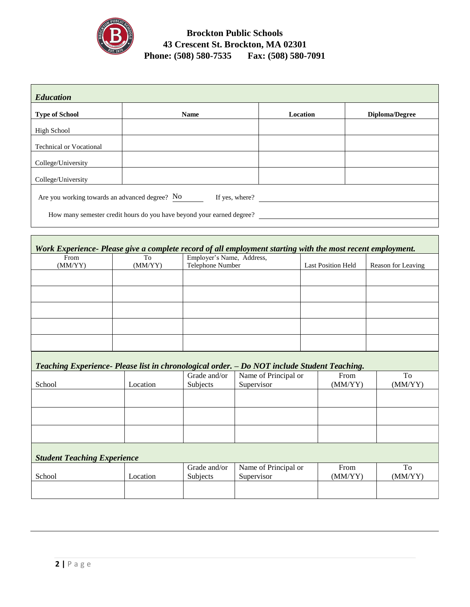

# **Brockton Public Schools 43 Crescent St. Brockton, MA 02301 Phone: (508) 580-7535 Fax: (508) 580-7091**

| <b>Education</b>                                                      |                |          |                       |  |  |
|-----------------------------------------------------------------------|----------------|----------|-----------------------|--|--|
| <b>Type of School</b>                                                 | <b>Name</b>    | Location | <b>Diploma/Degree</b> |  |  |
| <b>High School</b>                                                    |                |          |                       |  |  |
| <b>Technical or Vocational</b>                                        |                |          |                       |  |  |
| College/University                                                    |                |          |                       |  |  |
| College/University                                                    |                |          |                       |  |  |
| Are you working towards an advanced degree? No                        | If yes, where? |          |                       |  |  |
| How many semester credit hours do you have beyond your earned degree? |                |          |                       |  |  |
|                                                                       |                |          |                       |  |  |

| Work Experience- Please give a complete record of all employment starting with the most recent employment. |         |                           |                           |                    |
|------------------------------------------------------------------------------------------------------------|---------|---------------------------|---------------------------|--------------------|
| From                                                                                                       | To      | Employer's Name, Address, |                           |                    |
| (MM/YY)                                                                                                    | (MM/YY) | Telephone Number          | <b>Last Position Held</b> | Reason for Leaving |
|                                                                                                            |         |                           |                           |                    |
|                                                                                                            |         |                           |                           |                    |
|                                                                                                            |         |                           |                           |                    |
|                                                                                                            |         |                           |                           |                    |
|                                                                                                            |         |                           |                           |                    |
|                                                                                                            |         |                           |                           |                    |
|                                                                                                            |         |                           |                           |                    |
|                                                                                                            |         |                           |                           |                    |
|                                                                                                            |         |                           |                           |                    |
|                                                                                                            |         |                           |                           |                    |

| Teaching Experience- Please list in chronological order. - Do NOT include Student Teaching. |          |              |                      |         |         |
|---------------------------------------------------------------------------------------------|----------|--------------|----------------------|---------|---------|
|                                                                                             |          | Grade and/or | Name of Principal or | From    | To      |
| School                                                                                      | Location | Subjects     | Supervisor           | (MM/YY) | (MM/YY) |
|                                                                                             |          |              |                      |         |         |
|                                                                                             |          |              |                      |         |         |
|                                                                                             |          |              |                      |         |         |
|                                                                                             |          |              |                      |         |         |
|                                                                                             |          |              |                      |         |         |
|                                                                                             |          |              |                      |         |         |
|                                                                                             |          |              |                      |         |         |
| <b>Student Teaching Experience</b>                                                          |          |              |                      |         |         |
|                                                                                             |          | Grade and/or | Name of Principal or | From    | To      |
| School                                                                                      | Location | Subjects     | Supervisor           | (MM/YY) | (MM/YY) |
|                                                                                             |          |              |                      |         |         |
|                                                                                             |          |              |                      |         |         |